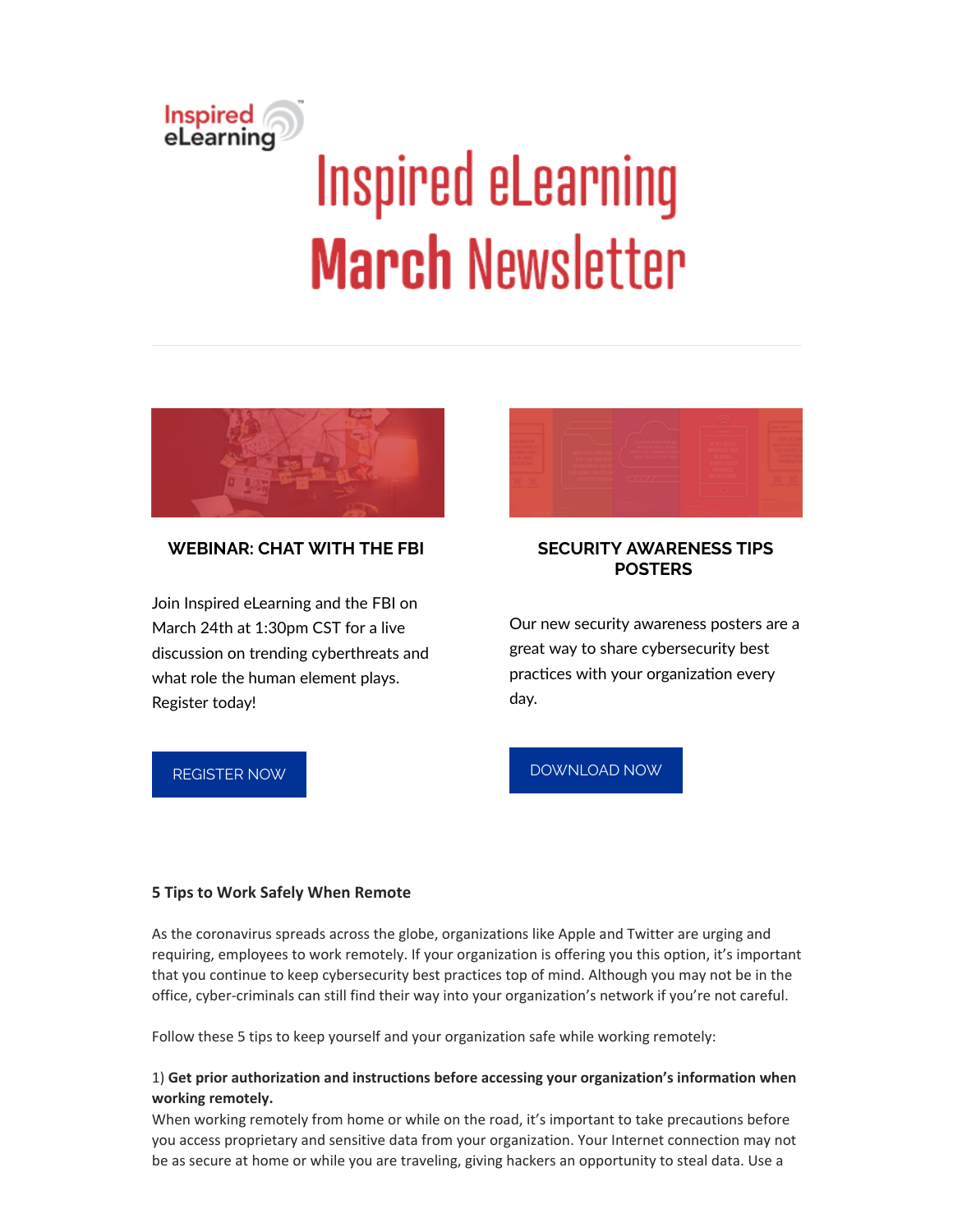# Inspired<br>eLearning **Inspired eLearning March Newsletter**



## **WEBINAR: CHAT WITH THE FBI**

Join Inspired eLearning and the FBI on March 24th at 1:30pm CST for a live discussion on trending cyberthreats and what role the human element plays. Register today!



## **SECURITY AWARENESS TIPS POSTERS**

Our new security awareness posters are a great way to share cybersecurity best practices with your organization every day.

#### [REGISTER](https://inspiredelearning.zoom.us/webinar/register/WN_p_Y6B93sQmKm68JQ_0fDcw) NOW

# [DOWNLOAD](https://inspiredelearning.com/resource/10-security-awareness-tips-posters/?utm_source=Marketo&utm_medium=Newsletter) NOW

#### **5 Tips to Work Safely When Remote**

As the coronavirus spreads across the globe, organizations like Apple and Twitter are urging and requiring, employees to work remotely. If your organization is offering you this option, it's important that you continue to keep cybersecurity best practices top of mind. Although you may not be in the office, cyber-criminals can still find their way into your organization's network if you're not careful.

Follow these 5 tips to keep yourself and your organization safe while working remotely:

#### 1) **Get prior authorization and instructions before accessing your organization's information when working remotely.**

When working remotely from home or while on the road, it's important to take precautions before you access proprietary and sensitive data from your organization. Your Internet connection may not be as secure at home or while you are traveling, giving hackers an opportunity to steal data. Use a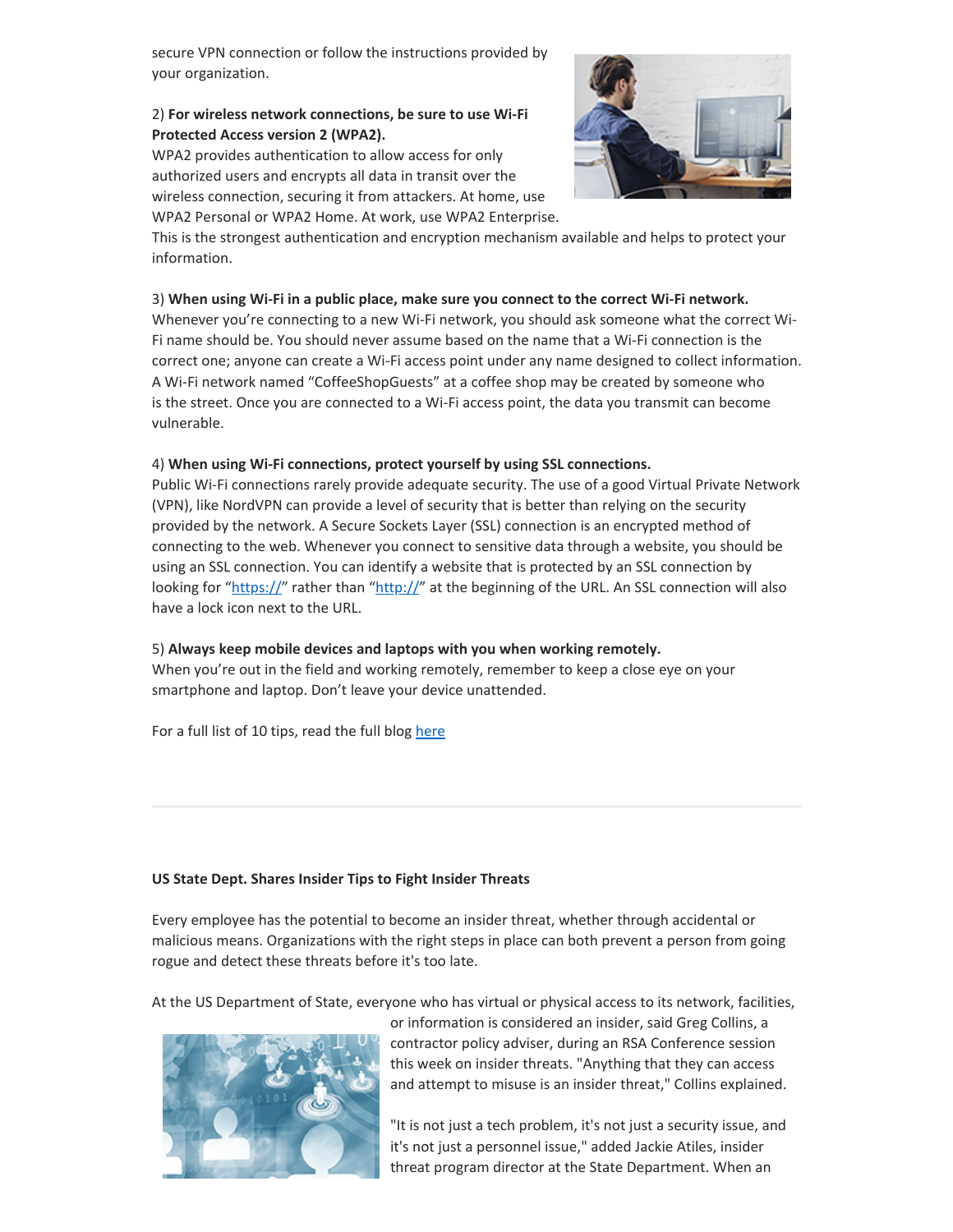secure VPN connection or follow the instructions provided by your organization.

#### 2) **For wireless network connections, be sure to use Wi-Fi Protected Access version 2 (WPA2).**

WPA2 provides authentication to allow access for only authorized users and encrypts all data in transit over the wireless connection, securing it from attackers. At home, use WPA2 Personal or WPA2 Home. At work, use WPA2 Enterprise.



This is the strongest authentication and encryption mechanism available and helps to protect your information.

#### 3) **When using Wi-Fi in a public place, make sure you connect to the correct Wi-Fi network.**

Whenever you're connecting to a new Wi-Fi network, you should ask someone what the correct Wi-Fi name should be. You should never assume based on the name that a Wi-Fi connection is the correct one; anyone can create a Wi-Fi access point under any name designed to collect information. A Wi-Fi network named "CoffeeShopGuests" at a coffee shop may be created by someone who is the street. Once you are connected to a Wi-Fi access point, the data you transmit can become vulnerable.

#### 4) **When using Wi-Fi connections, protect yourself by using SSL connections.**

Public Wi-Fi connections rarely provide adequate security. The use of a good Virtual Private Network (VPN), like NordVPN can provide a level of security that is better than relying on the security provided by the network. A Secure Sockets Layer (SSL) connection is an encrypted method of connecting to the web. Whenever you connect to sensitive data through a website, you should be using an SSL connection. You can identify a website that is protected by an SSL connection by looking for "https://" rather than "http://" at the beginning of the URL. An SSL connection will also have a lock icon next to the URL.

#### 5) **Always keep mobile devices and laptops with you when working remotely.**

When you're out in the field and working remotely, remember to keep a close eye on your smartphone and laptop. Don't leave your device unattended.

For a full list of 10 tips, read the full blog [here](https://inspiredelearning.com/blog/10-tips-to-work-safely-when-remote/?utm_source=Marketo&utm_medium=Newsletter)

#### **US State Dept. Shares Insider Tips to Fight Insider Threats**

Every employee has the potential to become an insider threat, whether through accidental or malicious means. Organizations with the right steps in place can both prevent a person from going rogue and detect these threats before it's too late.

At the US Department of State, everyone who has virtual or physical access to its network, facilities,



or information is considered an insider, said Greg Collins, a contractor policy adviser, during an RSA Conference session this week on insider threats. "Anything that they can access and attempt to misuse is an insider threat," Collins explained.

"It is not just a tech problem, it's not just a security issue, and it's not just a personnel issue," added Jackie Atiles, insider threat program director at the State Department. When an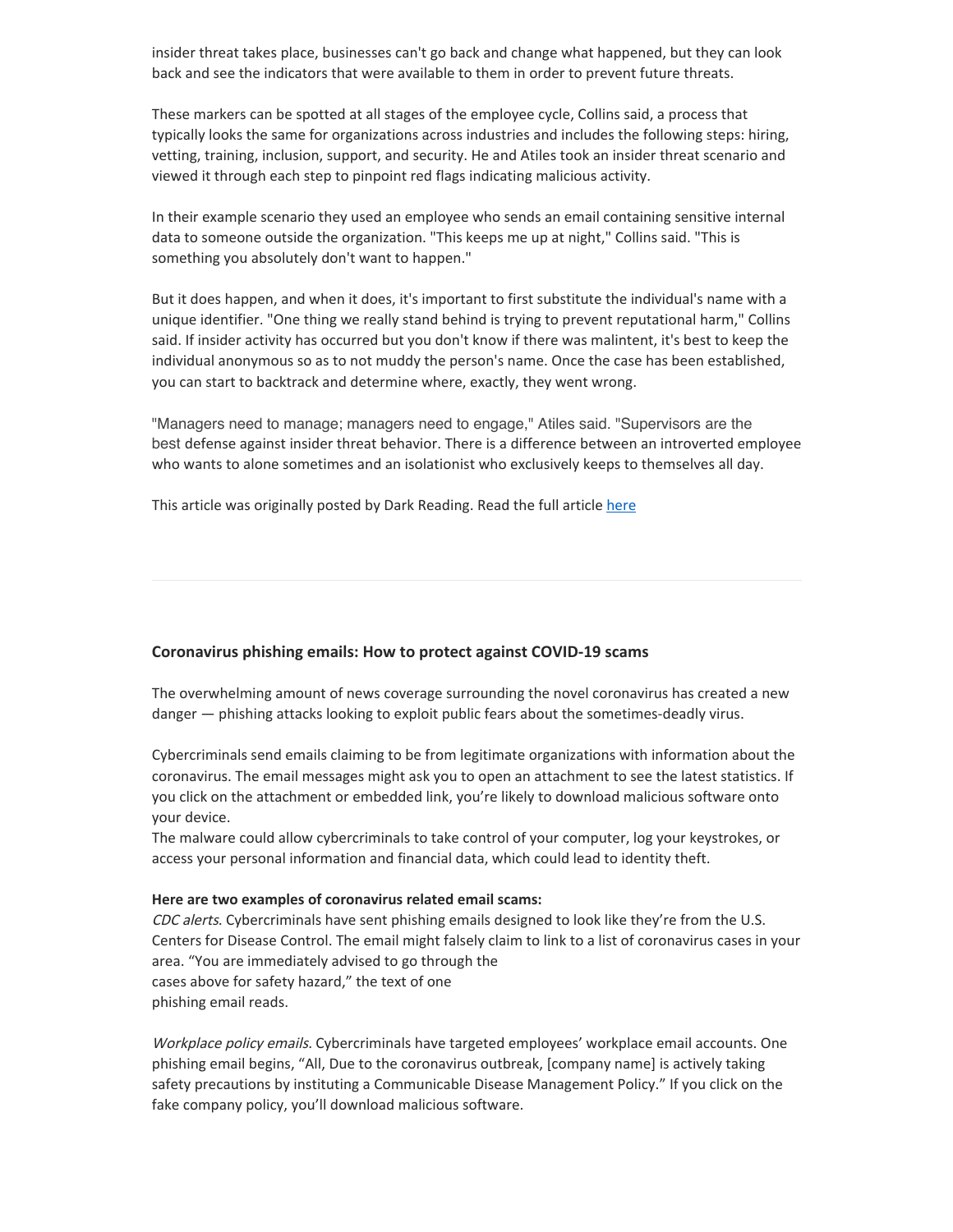insider threat takes place, businesses can't go back and change what happened, but they can look back and see the indicators that were available to them in order to prevent future threats.

These markers can be spotted at all stages of the employee cycle, Collins said, a process that typically looks the same for organizations across industries and includes the following steps: hiring, vetting, training, inclusion, support, and security. He and Atiles took an insider threat scenario and viewed it through each step to pinpoint red flags indicating malicious activity.

In their example scenario they used an employee who sends an email containing sensitive internal data to someone outside the organization. "This keeps me up at night," Collins said. "This is something you absolutely don't want to happen."

But it does happen, and when it does, it's important to first substitute the individual's name with a unique identifier. "One thing we really stand behind is trying to prevent reputational harm," Collins said. If insider activity has occurred but you don't know if there was malintent, it's best to keep the individual anonymous so as to not muddy the person's name. Once the case has been established, you can start to backtrack and determine where, exactly, they went wrong.

"Managers need to manage; managers need to engage," Atiles said. "Supervisors are the best defense against insider threat behavior. There is a difference between an introverted employee who wants to alone sometimes and an isolationist who exclusively keeps to themselves all day.

This article was originally posted by Dark Reading. Read the full article [here](https://www.darkreading.com/vulnerabilities---threats/us-state-dept-shares-insider-tips-to-fight-insider-threats/d/d-id/1337163)

#### **Coronavirus phishing emails: How to protect against COVID-19 scams**

The overwhelming amount of news coverage surrounding the novel coronavirus has created a new danger — phishing attacks looking to exploit public fears about the sometimes-deadly virus.

Cybercriminals send emails claiming to be from legitimate organizations with information about the coronavirus. The email messages might ask you to open an attachment to see the latest statistics. If you click on the attachment or embedded link, you're likely to download malicious software onto your device.

The malware could allow cybercriminals to take control of your computer, log your keystrokes, or access your personal information and financial data, which could lead to identity theft.

#### **Here are two examples of coronavirus related email scams:**

CDC alerts. Cybercriminals have sent phishing emails designed to look like they're from the U.S. Centers for Disease Control. The email might falsely claim to link to a list of coronavirus cases in your area. "You are immediately advised to go through the cases above for safety hazard," the text of one phishing email reads.

Workplace policy emails. Cybercriminals have targeted employees' workplace email accounts. One phishing email begins, "All, Due to the coronavirus outbreak, [company name] is actively taking safety precautions by instituting a Communicable Disease Management Policy." If you click on the fake company policy, you'll download malicious software.